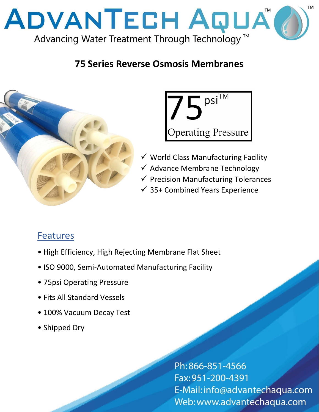

## 75 Series Reverse Osmosis Membranes





- $\checkmark$  World Class Manufacturing Facility
- $\checkmark$  Advance Membrane Technology
- $\checkmark$  Precision Manufacturing Tolerances
- $\checkmark$  35+ Combined Years Experience

## **Features**

- High Efficiency, High Rejecting Membrane Flat Sheet
- ISO 9000, Semi-Automated Manufacturing Facility
- 75psi Operating Pressure
- Fits All Standard Vessels
- 100% Vacuum Decay Test
- Shipped Dry

Ph: 866-851-4566 Fax: 951-200-4391 E-Mail: info@advantechaqua.com Web: www.advantechaqua.com